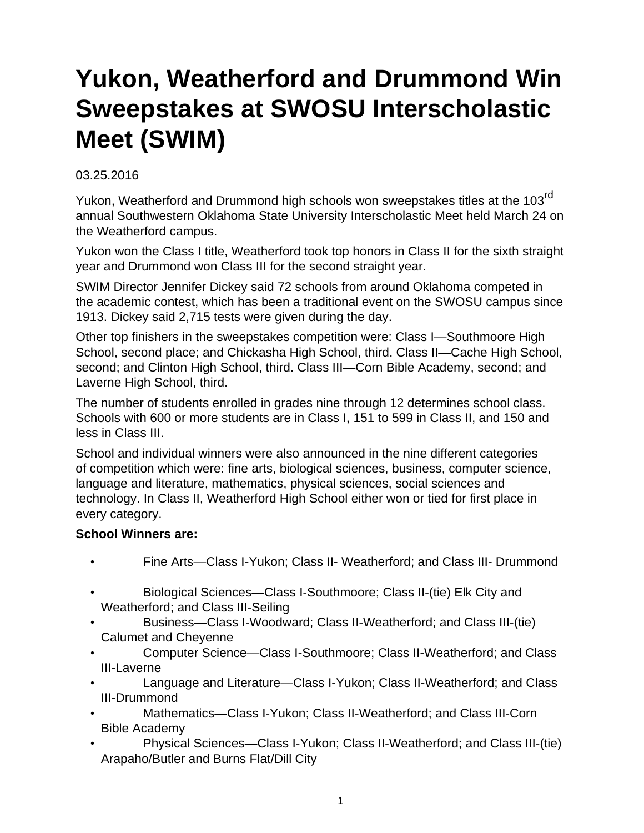## **Yukon, Weatherford and Drummond Win Sweepstakes at SWOSU Interscholastic Meet (SWIM)**

03.25.2016

Yukon, Weatherford and Drummond high schools won sweepstakes titles at the 103<sup>rd</sup> annual Southwestern Oklahoma State University Interscholastic Meet held March 24 on the Weatherford campus.

Yukon won the Class I title, Weatherford took top honors in Class II for the sixth straight year and Drummond won Class III for the second straight year.

SWIM Director Jennifer Dickey said 72 schools from around Oklahoma competed in the academic contest, which has been a traditional event on the SWOSU campus since 1913. Dickey said 2,715 tests were given during the day.

Other top finishers in the sweepstakes competition were: Class I—Southmoore High School, second place; and Chickasha High School, third. Class II—Cache High School, second; and Clinton High School, third. Class III—Corn Bible Academy, second; and Laverne High School, third.

The number of students enrolled in grades nine through 12 determines school class. Schools with 600 or more students are in Class I, 151 to 599 in Class II, and 150 and less in Class III.

School and individual winners were also announced in the nine different categories of competition which were: fine arts, biological sciences, business, computer science, language and literature, mathematics, physical sciences, social sciences and technology. In Class II, Weatherford High School either won or tied for first place in every category.

## **School Winners are:**

- Fine Arts—Class I-Yukon; Class II- Weatherford; and Class III- Drummond
- Biological Sciences—Class I-Southmoore; Class II-(tie) Elk City and Weatherford; and Class III-Seiling
- Business—Class I-Woodward; Class II-Weatherford; and Class III-(tie) Calumet and Cheyenne
- Computer Science—Class I-Southmoore; Class II-Weatherford; and Class III-Laverne
- Language and Literature—Class I-Yukon; Class II-Weatherford; and Class III-Drummond
- Mathematics—Class I-Yukon; Class II-Weatherford; and Class III-Corn Bible Academy
- Physical Sciences—Class I-Yukon; Class II-Weatherford; and Class III-(tie) Arapaho/Butler and Burns Flat/Dill City